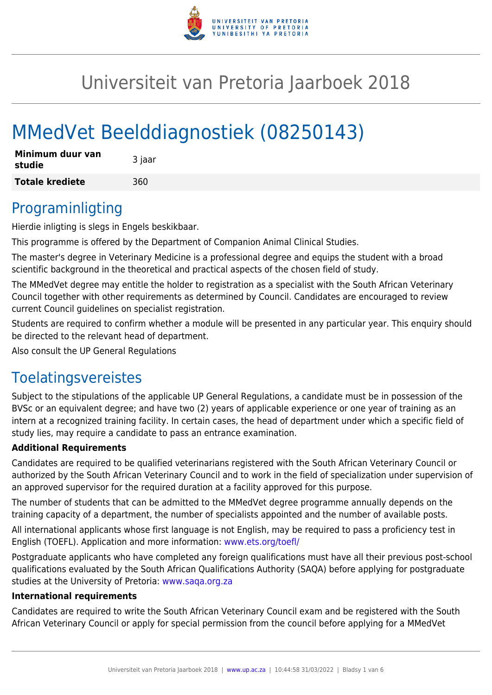

# Universiteit van Pretoria Jaarboek 2018

# MMedVet Beelddiagnostiek (08250143)

| Minimum duur van<br>studie | 3 jaar |
|----------------------------|--------|
| <b>Totale krediete</b>     | 360    |

### Programinligting

Hierdie inligting is slegs in Engels beskikbaar.

This programme is offered by the Department of Companion Animal Clinical Studies.

The master's degree in Veterinary Medicine is a professional degree and equips the student with a broad scientific background in the theoretical and practical aspects of the chosen field of study.

The MMedVet degree may entitle the holder to registration as a specialist with the South African Veterinary Council together with other requirements as determined by Council. Candidates are encouraged to review current Council guidelines on specialist registration.

Students are required to confirm whether a module will be presented in any particular year. This enquiry should be directed to the relevant head of department.

Also consult the UP General Regulations

### Toelatingsvereistes

Subject to the stipulations of the applicable UP General Regulations, a candidate must be in possession of the BVSc or an equivalent degree; and have two (2) years of applicable experience or one year of training as an intern at a recognized training facility. In certain cases, the head of department under which a specific field of study lies, may require a candidate to pass an entrance examination.

#### **Additional Requirements**

Candidates are required to be qualified veterinarians registered with the South African Veterinary Council or authorized by the South African Veterinary Council and to work in the field of specialization under supervision of an approved supervisor for the required duration at a facility approved for this purpose.

The number of students that can be admitted to the MMedVet degree programme annually depends on the training capacity of a department, the number of specialists appointed and the number of available posts.

All international applicants whose first language is not English, may be required to pass a proficiency test in English (TOEFL). Application and more information: [www.ets.org/toefl/](http://www.ets.org/toefl/)

Postgraduate applicants who have completed any foreign qualifications must have all their previous post-school qualifications evaluated by the South African Qualifications Authority (SAQA) before applying for postgraduate studies at the University of Pretoria: [www.saqa.org.za](http://www.saqa.org.za)

#### **International requirements**

Candidates are required to write the South African Veterinary Council exam and be registered with the South African Veterinary Council or apply for special permission from the council before applying for a MMedVet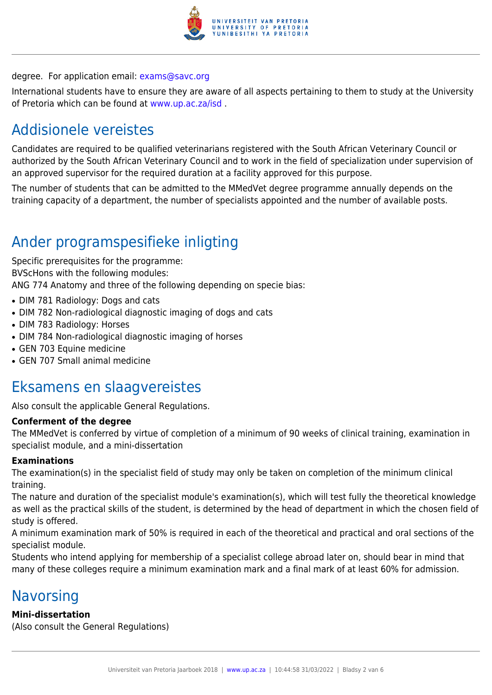

#### degree. For application email: [exams@savc.org](mailto:exams@savc.org)

International students have to ensure they are aware of all aspects pertaining to them to study at the University of Pretoria which can be found at [www.up.ac.za/isd](http://www.up.ac.za/isd) .

### Addisionele vereistes

Candidates are required to be qualified veterinarians registered with the South African Veterinary Council or authorized by the South African Veterinary Council and to work in the field of specialization under supervision of an approved supervisor for the required duration at a facility approved for this purpose.

The number of students that can be admitted to the MMedVet degree programme annually depends on the training capacity of a department, the number of specialists appointed and the number of available posts.

### Ander programspesifieke inligting

Specific prerequisites for the programme: BVScHons with the following modules:

ANG 774 Anatomy and three of the following depending on specie bias:

- DIM 781 Radiology: Dogs and cats
- DIM 782 Non-radiological diagnostic imaging of dogs and cats
- DIM 783 Radiology: Horses
- DIM 784 Non-radiological diagnostic imaging of horses
- GEN 703 Equine medicine
- GEN 707 Small animal medicine

### Eksamens en slaagvereistes

Also consult the applicable General Regulations.

#### **Conferment of the degree**

The MMedVet is conferred by virtue of completion of a minimum of 90 weeks of clinical training, examination in specialist module, and a mini-dissertation

#### **Examinations**

The examination(s) in the specialist field of study may only be taken on completion of the minimum clinical training.

The nature and duration of the specialist module's examination(s), which will test fully the theoretical knowledge as well as the practical skills of the student, is determined by the head of department in which the chosen field of study is offered.

A minimum examination mark of 50% is required in each of the theoretical and practical and oral sections of the specialist module.

Students who intend applying for membership of a specialist college abroad later on, should bear in mind that many of these colleges require a minimum examination mark and a final mark of at least 60% for admission.

### **Navorsing**

#### **Mini-dissertation**

(Also consult the General Regulations)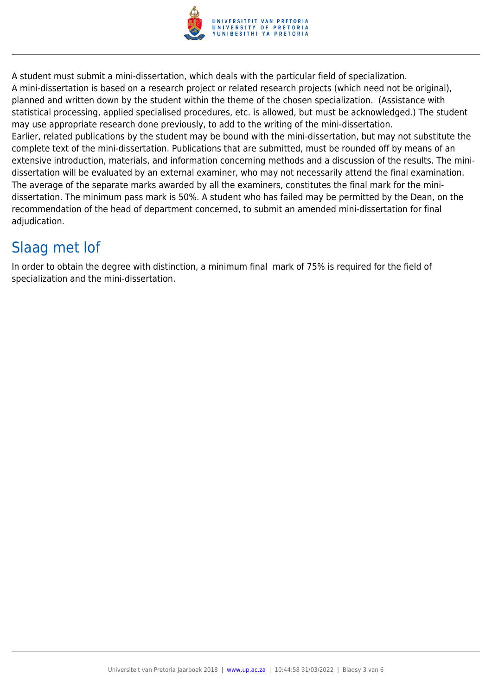

A student must submit a mini-dissertation, which deals with the particular field of specialization. A mini-dissertation is based on a research project or related research projects (which need not be original), planned and written down by the student within the theme of the chosen specialization. (Assistance with statistical processing, applied specialised procedures, etc. is allowed, but must be acknowledged.) The student may use appropriate research done previously, to add to the writing of the mini-dissertation. Earlier, related publications by the student may be bound with the mini-dissertation, but may not substitute the complete text of the mini-dissertation. Publications that are submitted, must be rounded off by means of an extensive introduction, materials, and information concerning methods and a discussion of the results. The minidissertation will be evaluated by an external examiner, who may not necessarily attend the final examination. The average of the separate marks awarded by all the examiners, constitutes the final mark for the minidissertation. The minimum pass mark is 50%. A student who has failed may be permitted by the Dean, on the recommendation of the head of department concerned, to submit an amended mini-dissertation for final adjudication.

# Slaag met lof

In order to obtain the degree with distinction, a minimum final mark of 75% is required for the field of specialization and the mini-dissertation.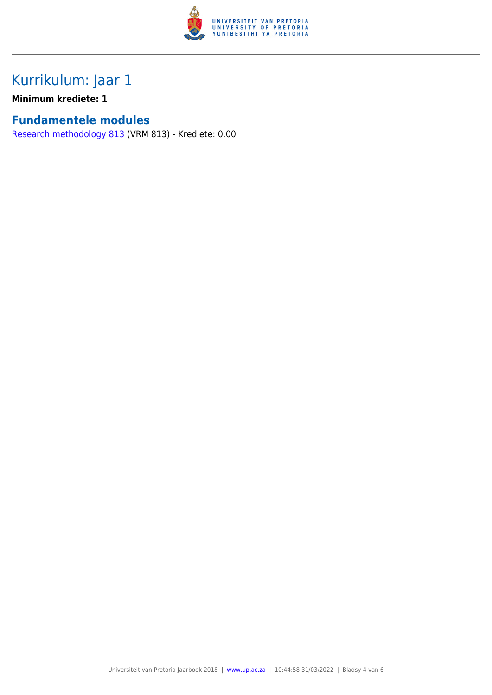

# Kurrikulum: Jaar 1

**Minimum krediete: 1**

### **Fundamentele modules**

[Research methodology 813](https://www.up.ac.za/parents/yearbooks/2018/modules/view/VRM 813/lg/af) (VRM 813) - Krediete: 0.00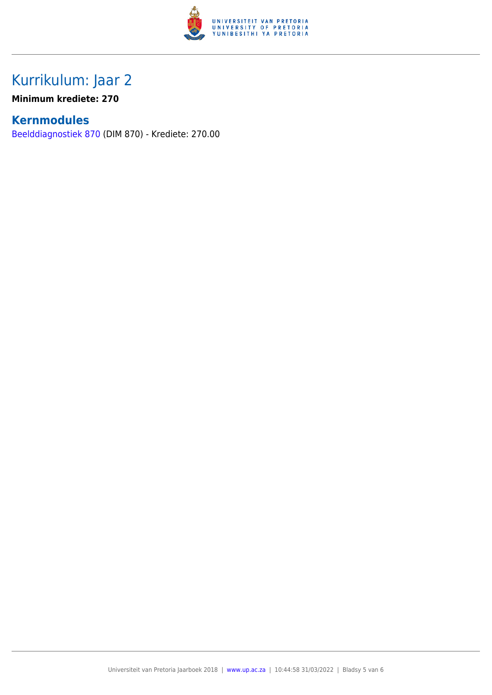

# Kurrikulum: Jaar 2

**Minimum krediete: 270**

### **Kernmodules**

[Beelddiagnostiek 870](https://www.up.ac.za/parents/yearbooks/2018/modules/view/DIM 870/lg/af) (DIM 870) - Krediete: 270.00